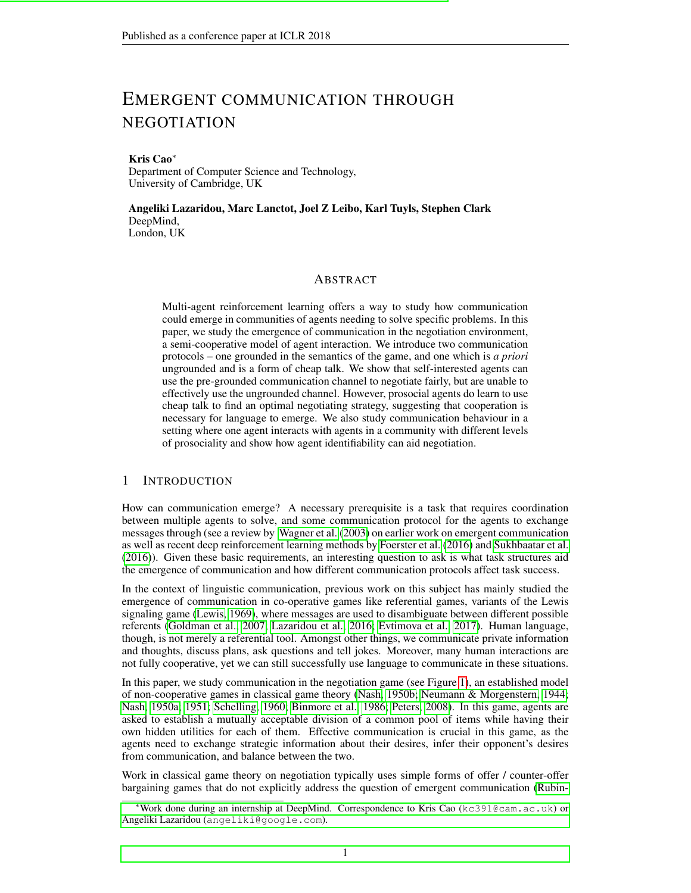# EMERGENT COMMUNICATION THROUGH NEGOTIATION

#### Kris Cao<sup>∗</sup>

Department of Computer Science and Technology, University of Cambridge, UK

Angeliki Lazaridou, Marc Lanctot, Joel Z Leibo, Karl Tuyls, Stephen Clark DeepMind, London, UK

#### ABSTRACT

Multi-agent reinforcement learning offers a way to study how communication could emerge in communities of agents needing to solve specific problems. In this paper, we study the emergence of communication in the negotiation environment, a semi-cooperative model of agent interaction. We introduce two communication protocols – one grounded in the semantics of the game, and one which is *a priori* ungrounded and is a form of cheap talk. We show that self-interested agents can use the pre-grounded communication channel to negotiate fairly, but are unable to effectively use the ungrounded channel. However, prosocial agents do learn to use cheap talk to find an optimal negotiating strategy, suggesting that cooperation is necessary for language to emerge. We also study communication behaviour in a setting where one agent interacts with agents in a community with different levels of prosociality and show how agent identifiability can aid negotiation.

## 1 INTRODUCTION

How can communication emerge? A necessary prerequisite is a task that requires coordination between multiple agents to solve, and some communication protocol for the agents to exchange messages through (see a review by [Wagner et al.](#page-12-0) [\(2003\)](#page-12-0) on earlier work on emergent communication as well as recent deep reinforcement learning methods by [Foerster et al.](#page-10-0) [\(2016\)](#page-10-0) and [Sukhbaatar et al.](#page-12-1) [\(2016\)](#page-12-1)). Given these basic requirements, an interesting question to ask is what task structures aid the emergence of communication and how different communication protocols affect task success.

In the context of linguistic communication, previous work on this subject has mainly studied the emergence of communication in co-operative games like referential games, variants of the Lewis signaling game [\(Lewis, 1969\)](#page-11-0), where messages are used to disambiguate between different possible referents [\(Goldman et al., 2007;](#page-10-1) [Lazaridou et al., 2016;](#page-11-1) [Evtimova et al., 2017\)](#page-10-2). Human language, though, is not merely a referential tool. Amongst other things, we communicate private information and thoughts, discuss plans, ask questions and tell jokes. Moreover, many human interactions are not fully cooperative, yet we can still successfully use language to communicate in these situations.

In this paper, we study communication in the negotiation game (see Figure [1\)](#page-1-0), an established model of non-cooperative games in classical game theory [\(Nash, 1950b;](#page-11-2) [Neumann & Morgenstern, 1944;](#page-11-3) [Nash, 1950a;](#page-11-4) [1951;](#page-11-5) [Schelling, 1960;](#page-12-2) [Binmore et al., 1986;](#page-10-3) [Peters, 2008\)](#page-11-6). In this game, agents are asked to establish a mutually acceptable division of a common pool of items while having their own hidden utilities for each of them. Effective communication is crucial in this game, as the agents need to exchange strategic information about their desires, infer their opponent's desires from communication, and balance between the two.

Work in classical game theory on negotiation typically uses simple forms of offer / counter-offer bargaining games that do not explicitly address the question of emergent communication [\(Rubin-](#page-11-7)

<sup>∗</sup>[Work done during an internship at DeepMind. Correspondence to Kris Cao \(](#page-11-7)kc391@cam.ac.uk) or Angeliki Lazaridou ([angeliki@google.com](#page-11-7)).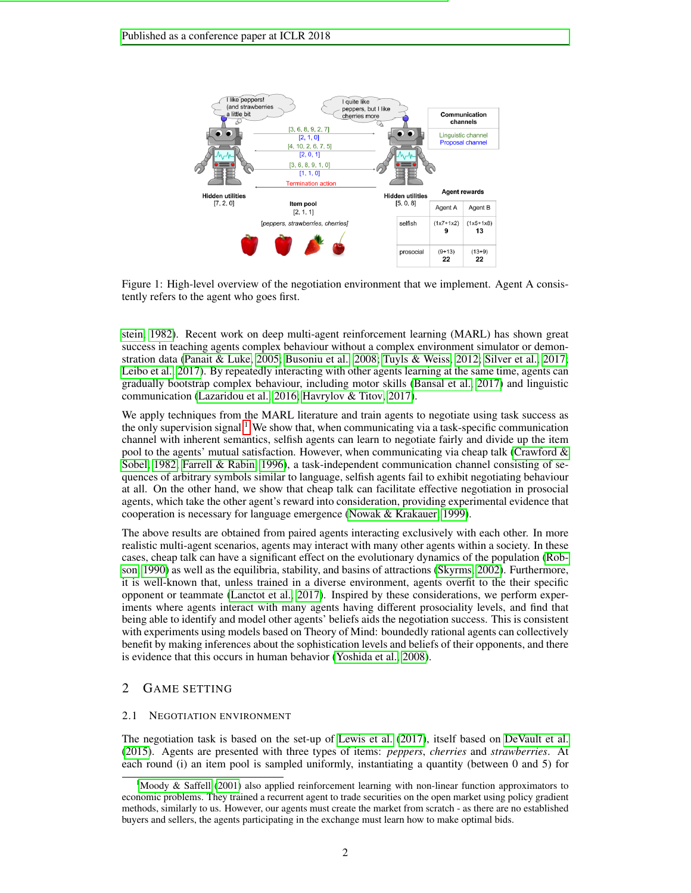<span id="page-1-0"></span>

Figure 1: High-level overview of the negotiation environment that we implement. Agent A consistently refers to the agent who goes first.

[stein, 1982\)](#page-11-7). Recent work on deep multi-agent reinforcement learning (MARL) has shown great success in teaching agents complex behaviour without a complex environment simulator or demonstration data [\(Panait & Luke, 2005;](#page-11-8) [Busoniu et al., 2008;](#page-10-4) [Tuyls & Weiss, 2012;](#page-12-3) [Silver et al., 2017;](#page-12-4) [Leibo et al., 2017\)](#page-11-9). By repeatedly interacting with other agents learning at the same time, agents can gradually bootstrap complex behaviour, including motor skills [\(Bansal et al., 2017\)](#page-10-5) and linguistic communication [\(Lazaridou et al., 2016;](#page-11-1) [Havrylov & Titov, 2017\)](#page-10-6).

We apply techniques from the MARL literature and train agents to negotiate using task success as the only supervision signal.<sup>[1](#page-1-1)</sup> We show that, when communicating via a task-specific communication channel with inherent semantics, selfish agents can learn to negotiate fairly and divide up the item pool to the agents' mutual satisfaction. However, when communicating via cheap talk (Crawford  $\&$ [Sobel, 1982;](#page-10-7) [Farrell & Rabin, 1996\)](#page-10-8), a task-independent communication channel consisting of sequences of arbitrary symbols similar to language, selfish agents fail to exhibit negotiating behaviour at all. On the other hand, we show that cheap talk can facilitate effective negotiation in prosocial agents, which take the other agent's reward into consideration, providing experimental evidence that cooperation is necessary for language emergence [\(Nowak & Krakauer, 1999\)](#page-11-10).

The above results are obtained from paired agents interacting exclusively with each other. In more realistic multi-agent scenarios, agents may interact with many other agents within a society. In these cases, cheap talk can have a significant effect on the evolutionary dynamics of the population [\(Rob](#page-11-11)[son, 1990\)](#page-11-11) as well as the equilibria, stability, and basins of attractions [\(Skyrms, 2002\)](#page-12-5). Furthermore, it is well-known that, unless trained in a diverse environment, agents overfit to the their specific opponent or teammate [\(Lanctot et al., 2017\)](#page-11-12). Inspired by these considerations, we perform experiments where agents interact with many agents having different prosociality levels, and find that being able to identify and model other agents' beliefs aids the negotiation success. This is consistent with experiments using models based on Theory of Mind: boundedly rational agents can collectively benefit by making inferences about the sophistication levels and beliefs of their opponents, and there is evidence that this occurs in human behavior [\(Yoshida et al., 2008\)](#page-12-6).

# 2 GAME SETTING

## <span id="page-1-2"></span>2.1 NEGOTIATION ENVIRONMENT

The negotiation task is based on the set-up of [Lewis et al.](#page-11-13) [\(2017\)](#page-11-13), itself based on [DeVault et al.](#page-10-9) [\(2015\)](#page-10-9). Agents are presented with three types of items: *peppers*, *cherries* and *strawberries*. At each round (i) an item pool is sampled uniformly, instantiating a quantity (between 0 and 5) for

<span id="page-1-1"></span><sup>&</sup>lt;sup>1</sup>[Moody & Saffell](#page-11-14) [\(2001\)](#page-11-14) also applied reinforcement learning with non-linear function approximators to economic problems. They trained a recurrent agent to trade securities on the open market using policy gradient methods, similarly to us. However, our agents must create the market from scratch - as there are no established buyers and sellers, the agents participating in the exchange must learn how to make optimal bids.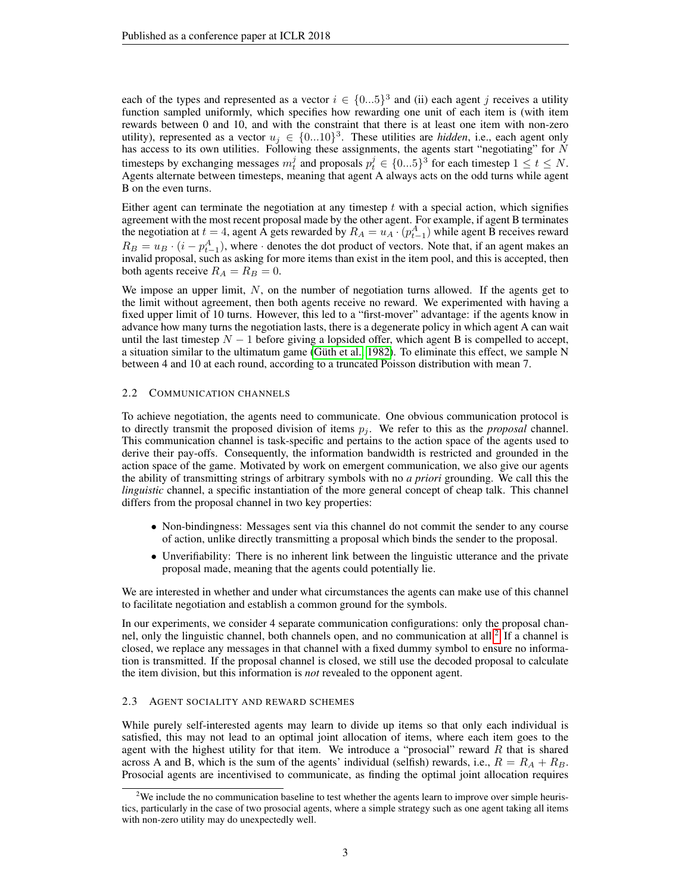each of the types and represented as a vector  $i \in \{0...5\}^3$  and (ii) each agent j receives a utility function sampled uniformly, which specifies how rewarding one unit of each item is (with item rewards between 0 and 10, and with the constraint that there is at least one item with non-zero utility), represented as a vector  $u_j \in \{0...10\}^3$ . These utilities are *hidden*, i.e., each agent only has access to its own utilities. Following these assignments, the agents start "negotiating" for  $N$ timesteps by exchanging messages  $m_t^j$  and proposals  $p_t^j \in \{0...5\}^3$  for each timestep  $1 \le t \le N$ . Agents alternate between timesteps, meaning that agent A always acts on the odd turns while agent B on the even turns.

Either agent can terminate the negotiation at any timestep  $t$  with a special action, which signifies agreement with the most recent proposal made by the other agent. For example, if agent B terminates the negotiation at  $t = 4$ , agent A gets rewarded by  $R_A = u_A \cdot (p_{t-1}^A)$  while agent B receives reward  $R_B = u_B \cdot (i - p_{t-1}^A)$ , where  $\cdot$  denotes the dot product of vectors. Note that, if an agent makes an invalid proposal, such as asking for more items than exist in the item pool, and this is accepted, then both agents receive  $R_A = R_B = 0$ .

We impose an upper limit,  $N$ , on the number of negotiation turns allowed. If the agents get to the limit without agreement, then both agents receive no reward. We experimented with having a fixed upper limit of 10 turns. However, this led to a "first-mover" advantage: if the agents know in advance how many turns the negotiation lasts, there is a degenerate policy in which agent A can wait until the last timestep  $N - 1$  before giving a lopsided offer, which agent B is compelled to accept, a situation similar to the ultimatum game (Güth et al., 1982). To eliminate this effect, we sample N between 4 and 10 at each round, according to a truncated Poisson distribution with mean 7.

#### 2.2 COMMUNICATION CHANNELS

To achieve negotiation, the agents need to communicate. One obvious communication protocol is to directly transmit the proposed division of items  $p_j$ . We refer to this as the *proposal* channel. This communication channel is task-specific and pertains to the action space of the agents used to derive their pay-offs. Consequently, the information bandwidth is restricted and grounded in the action space of the game. Motivated by work on emergent communication, we also give our agents the ability of transmitting strings of arbitrary symbols with no *a priori* grounding. We call this the *linguistic* channel, a specific instantiation of the more general concept of cheap talk. This channel differs from the proposal channel in two key properties:

- Non-bindingness: Messages sent via this channel do not commit the sender to any course of action, unlike directly transmitting a proposal which binds the sender to the proposal.
- Unverifiability: There is no inherent link between the linguistic utterance and the private proposal made, meaning that the agents could potentially lie.

We are interested in whether and under what circumstances the agents can make use of this channel to facilitate negotiation and establish a common ground for the symbols.

In our experiments, we consider 4 separate communication configurations: only the proposal chan-nel, only the linguistic channel, both channels open, and no communication at all.<sup>[2](#page-2-0)</sup> If a channel is closed, we replace any messages in that channel with a fixed dummy symbol to ensure no information is transmitted. If the proposal channel is closed, we still use the decoded proposal to calculate the item division, but this information is *not* revealed to the opponent agent.

#### 2.3 AGENT SOCIALITY AND REWARD SCHEMES

While purely self-interested agents may learn to divide up items so that only each individual is satisfied, this may not lead to an optimal joint allocation of items, where each item goes to the agent with the highest utility for that item. We introduce a "prosocial" reward  $R$  that is shared across A and B, which is the sum of the agents' individual (selfish) rewards, i.e.,  $R = R_A + R_B$ . Prosocial agents are incentivised to communicate, as finding the optimal joint allocation requires

<span id="page-2-0"></span><sup>&</sup>lt;sup>2</sup>We include the no communication baseline to test whether the agents learn to improve over simple heuristics, particularly in the case of two prosocial agents, where a simple strategy such as one agent taking all items with non-zero utility may do unexpectedly well.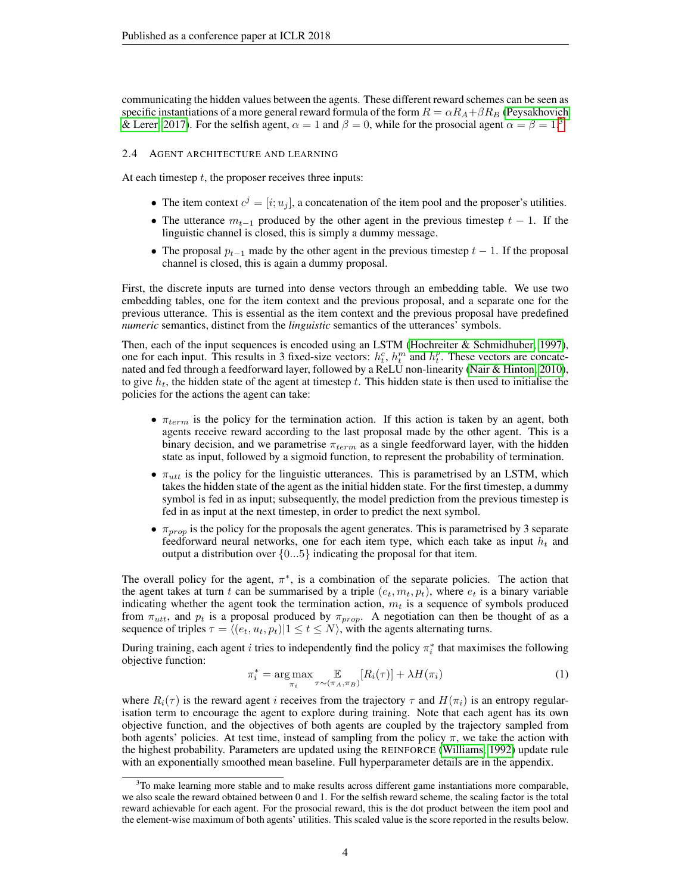communicating the hidden values between the agents. These different reward schemes can be seen as specific instantiations of a more general reward formula of the form  $R = \alpha R_A + \beta R_B$  [\(Peysakhovich](#page-11-15) [& Lerer, 2017\)](#page-11-15). For the selfish agent,  $\alpha = 1$  and  $\beta = 0$ , while for the prosocial agent  $\alpha = \beta = 1$ .<sup>[3](#page-3-0)</sup>

#### 2.4 AGENT ARCHITECTURE AND LEARNING

At each timestep  $t$ , the proposer receives three inputs:

- The item context  $c^j = [i; u_j]$ , a concatenation of the item pool and the proposer's utilities.
- The utterance  $m_{t-1}$  produced by the other agent in the previous timestep  $t-1$ . If the linguistic channel is closed, this is simply a dummy message.
- The proposal  $p_{t-1}$  made by the other agent in the previous timestep  $t-1$ . If the proposal channel is closed, this is again a dummy proposal.

First, the discrete inputs are turned into dense vectors through an embedding table. We use two embedding tables, one for the item context and the previous proposal, and a separate one for the previous utterance. This is essential as the item context and the previous proposal have predefined *numeric* semantics, distinct from the *linguistic* semantics of the utterances' symbols.

Then, each of the input sequences is encoded using an LSTM (Hochreiter  $\&$  Schmidhuber, 1997), one for each input. This results in 3 fixed-size vectors:  $h_t^c$ ,  $h_t^m$  and  $h_t^p$ . These vectors are concatenated and fed through a feedforward layer, followed by a ReLU non-linearity [\(Nair & Hinton, 2010\)](#page-11-17), to give  $h_t$ , the hidden state of the agent at timestep t. This hidden state is then used to initialise the policies for the actions the agent can take:

- $\pi_{term}$  is the policy for the termination action. If this action is taken by an agent, both agents receive reward according to the last proposal made by the other agent. This is a binary decision, and we parametrise  $\pi_{term}$  as a single feedforward layer, with the hidden state as input, followed by a sigmoid function, to represent the probability of termination.
- $\pi_{utt}$  is the policy for the linguistic utterances. This is parametrised by an LSTM, which takes the hidden state of the agent as the initial hidden state. For the first timestep, a dummy symbol is fed in as input; subsequently, the model prediction from the previous timestep is fed in as input at the next timestep, in order to predict the next symbol.
- $\pi_{prop}$  is the policy for the proposals the agent generates. This is parametrised by 3 separate feedforward neural networks, one for each item type, which each take as input  $h_t$  and output a distribution over  $\{0...5\}$  indicating the proposal for that item.

The overall policy for the agent,  $\pi^*$ , is a combination of the separate policies. The action that the agent takes at turn t can be summarised by a triple  $(e_t, m_t, p_t)$ , where  $e_t$  is a binary variable indicating whether the agent took the termination action,  $m<sub>t</sub>$  is a sequence of symbols produced from  $\pi_{utt}$ , and  $p_t$  is a proposal produced by  $\pi_{prop}$ . A negotiation can then be thought of as a sequence of triples  $\tau = \langle (e_t, u_t, p_t) | 1 \le t \le N \rangle$ , with the agents alternating turns.

During training, each agent i tries to independently find the policy  $\pi_i^*$  that maximises the following objective function:

$$
\pi_i^* = \underset{\pi_i}{\arg \max} \mathop{\mathbb{E}}_{\tau \sim (\pi_A, \pi_B)} [R_i(\tau)] + \lambda H(\pi_i)
$$
\n(1)

where  $R_i(\tau)$  is the reward agent i receives from the trajectory  $\tau$  and  $H(\pi_i)$  is an entropy regularisation term to encourage the agent to explore during training. Note that each agent has its own objective function, and the objectives of both agents are coupled by the trajectory sampled from both agents' policies. At test time, instead of sampling from the policy  $\pi$ , we take the action with the highest probability. Parameters are updated using the REINFORCE [\(Williams, 1992\)](#page-12-7) update rule with an exponentially smoothed mean baseline. Full hyperparameter details are in the appendix.

<span id="page-3-0"></span> $3$ To make learning more stable and to make results across different game instantiations more comparable, we also scale the reward obtained between 0 and 1. For the selfish reward scheme, the scaling factor is the total reward achievable for each agent. For the prosocial reward, this is the dot product between the item pool and the element-wise maximum of both agents' utilities. This scaled value is the score reported in the results below.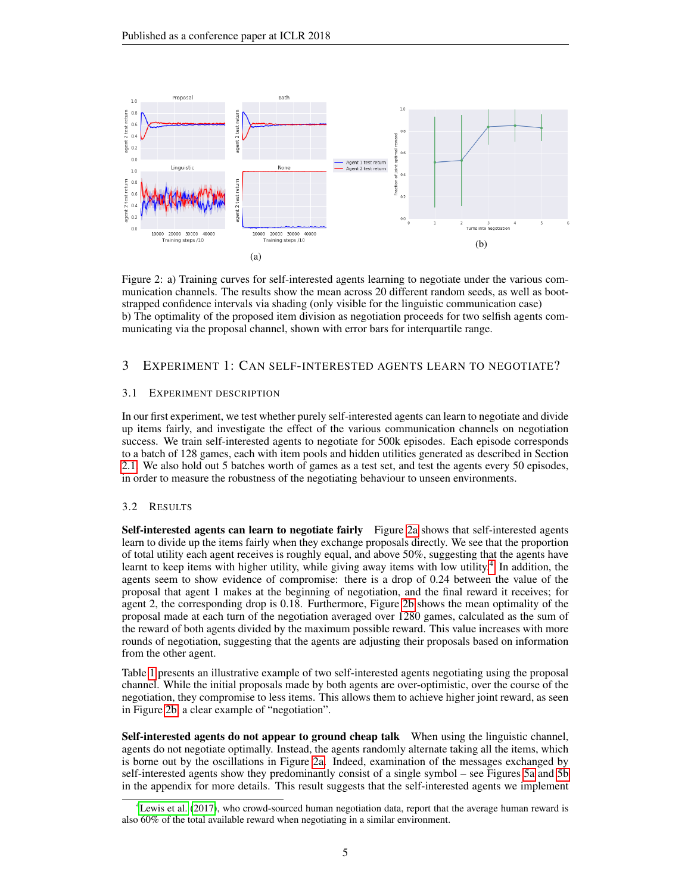<span id="page-4-0"></span>

Figure 2: a) Training curves for self-interested agents learning to negotiate under the various communication channels. The results show the mean across 20 different random seeds, as well as bootstrapped confidence intervals via shading (only visible for the linguistic communication case) b) The optimality of the proposed item division as negotiation proceeds for two selfish agents communicating via the proposal channel, shown with error bars for interquartile range.

## 3 EXPERIMENT 1: CAN SELF-INTERESTED AGENTS LEARN TO NEGOTIATE?

#### 3.1 EXPERIMENT DESCRIPTION

In our first experiment, we test whether purely self-interested agents can learn to negotiate and divide up items fairly, and investigate the effect of the various communication channels on negotiation success. We train self-interested agents to negotiate for 500k episodes. Each episode corresponds to a batch of 128 games, each with item pools and hidden utilities generated as described in Section [2.1.](#page-1-2) We also hold out 5 batches worth of games as a test set, and test the agents every 50 episodes, in order to measure the robustness of the negotiating behaviour to unseen environments.

## 3.2 RESULTS

Self-interested agents can learn to negotiate fairly Figure [2a](#page-4-0) shows that self-interested agents learn to divide up the items fairly when they exchange proposals directly. We see that the proportion of total utility each agent receives is roughly equal, and above 50%, suggesting that the agents have learnt to keep items with higher utility, while giving away items with low utility.<sup>[4](#page-4-1)</sup> In addition, the agents seem to show evidence of compromise: there is a drop of 0.24 between the value of the proposal that agent 1 makes at the beginning of negotiation, and the final reward it receives; for agent 2, the corresponding drop is 0.18. Furthermore, Figure [2b](#page-4-0) shows the mean optimality of the proposal made at each turn of the negotiation averaged over 1280 games, calculated as the sum of the reward of both agents divided by the maximum possible reward. This value increases with more rounds of negotiation, suggesting that the agents are adjusting their proposals based on information from the other agent.

Table [1](#page-5-0) presents an illustrative example of two self-interested agents negotiating using the proposal channel. While the initial proposals made by both agents are over-optimistic, over the course of the negotiation, they compromise to less items. This allows them to achieve higher joint reward, as seen in Figure [2b,](#page-4-0) a clear example of "negotiation".

Self-interested agents do not appear to ground cheap talk When using the linguistic channel, agents do not negotiate optimally. Instead, the agents randomly alternate taking all the items, which is borne out by the oscillations in Figure [2a.](#page-4-0) Indeed, examination of the messages exchanged by self-interested agents show they predominantly consist of a single symbol – see Figures [5a](#page-13-0) and [5b](#page-13-0) in the appendix for more details. This result suggests that the self-interested agents we implement

<span id="page-4-1"></span><sup>&</sup>lt;sup>4</sup> [Lewis et al.](#page-11-13) [\(2017\)](#page-11-13), who crowd-sourced human negotiation data, report that the average human reward is also 60% of the total available reward when negotiating in a similar environment.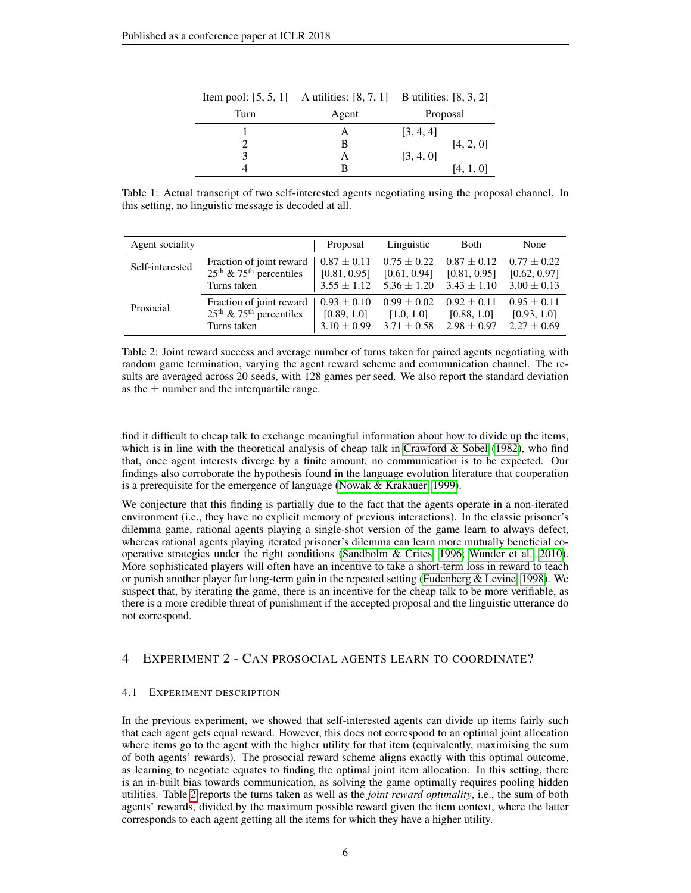<span id="page-5-0"></span>

|      | Item pool: $[5, 5, 1]$ A utilities: $[8, 7, 1]$ B utilities: $[8, 3, 2]$ |           |  |  |
|------|--------------------------------------------------------------------------|-----------|--|--|
| Turn | Agent                                                                    | Proposal  |  |  |
|      |                                                                          | [3, 4, 4] |  |  |
|      |                                                                          | [4, 2, 0] |  |  |
|      |                                                                          | [3, 4, 0] |  |  |
|      |                                                                          | [4, 1, 0] |  |  |

Table 1: Actual transcript of two self-interested agents negotiating using the proposal channel. In this setting, no linguistic message is decoded at all.

<span id="page-5-1"></span>

| Agent sociality |                                       | Proposal        | Linguistic      | <b>Both</b>     | None            |
|-----------------|---------------------------------------|-----------------|-----------------|-----------------|-----------------|
| Self-interested | Fraction of joint reward              | $0.87 \pm 0.11$ | $0.75 \pm 0.22$ | $0.87 \pm 0.12$ | $0.77 + 0.22$   |
|                 | $25th$ & 75 <sup>th</sup> percentiles | [0.81, 0.95]    | [0.61, 0.94]    | [0.81, 0.95]    | [0.62, 0.97]    |
|                 | Turns taken                           | $3.55 \pm 1.12$ | $5.36 \pm 1.20$ | $3.43 \pm 1.10$ | $3.00 \pm 0.13$ |
| Prosocial       | Fraction of joint reward              | $0.93 \pm 0.10$ | $0.99 \pm 0.02$ | $0.92 + 0.11$   | $0.95 + 0.11$   |
|                 | $25th$ & 75 <sup>th</sup> percentiles | [0.89, 1.0]     | [1.0, 1.0]      | [0.88, 1.0]     | [0.93, 1.0]     |
|                 | Turns taken                           | $3.10 \pm 0.99$ | $3.71 \pm 0.58$ | $2.98 \pm 0.97$ | $2.27 \pm 0.69$ |

Table 2: Joint reward success and average number of turns taken for paired agents negotiating with random game termination, varying the agent reward scheme and communication channel. The results are averaged across 20 seeds, with 128 games per seed. We also report the standard deviation as the  $\pm$  number and the interquartile range.

find it difficult to cheap talk to exchange meaningful information about how to divide up the items, which is in line with the theoretical analysis of cheap talk in [Crawford & Sobel](#page-10-7) [\(1982\)](#page-10-7), who find that, once agent interests diverge by a finite amount, no communication is to be expected. Our findings also corroborate the hypothesis found in the language evolution literature that cooperation is a prerequisite for the emergence of language [\(Nowak & Krakauer, 1999\)](#page-11-10).

We conjecture that this finding is partially due to the fact that the agents operate in a non-iterated environment (i.e., they have no explicit memory of previous interactions). In the classic prisoner's dilemma game, rational agents playing a single-shot version of the game learn to always defect, whereas rational agents playing iterated prisoner's dilemma can learn more mutually beneficial cooperative strategies under the right conditions [\(Sandholm & Crites, 1996;](#page-12-8) [Wunder et al., 2010\)](#page-12-9). More sophisticated players will often have an incentive to take a short-term loss in reward to teach or punish another player for long-term gain in the repeated setting [\(Fudenberg & Levine, 1998\)](#page-10-11). We suspect that, by iterating the game, there is an incentive for the cheap talk to be more verifiable, as there is a more credible threat of punishment if the accepted proposal and the linguistic utterance do not correspond.

## 4 EXPERIMENT 2 - CAN PROSOCIAL AGENTS LEARN TO COORDINATE?

#### 4.1 EXPERIMENT DESCRIPTION

In the previous experiment, we showed that self-interested agents can divide up items fairly such that each agent gets equal reward. However, this does not correspond to an optimal joint allocation where items go to the agent with the higher utility for that item (equivalently, maximising the sum of both agents' rewards). The prosocial reward scheme aligns exactly with this optimal outcome, as learning to negotiate equates to finding the optimal joint item allocation. In this setting, there is an in-built bias towards communication, as solving the game optimally requires pooling hidden utilities. Table [2](#page-5-1) reports the turns taken as well as the *joint reward optimality*, i.e., the sum of both agents' rewards, divided by the maximum possible reward given the item context, where the latter corresponds to each agent getting all the items for which they have a higher utility.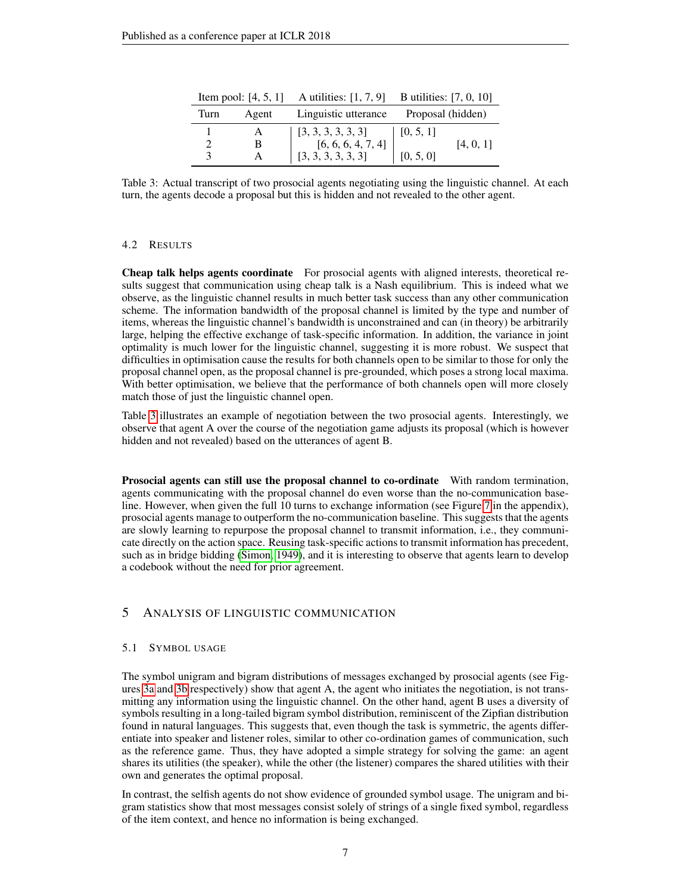<span id="page-6-0"></span>

|               |              | Item pool: $[4, 5, 1]$ A utilities: $[1, 7, 9]$ B utilities: $[7, 0, 10]$                         |                   |           |  |
|---------------|--------------|---------------------------------------------------------------------------------------------------|-------------------|-----------|--|
| Agent<br>Turn |              | Linguistic utterance                                                                              | Proposal (hidden) |           |  |
|               | A            |                                                                                                   | [0, 5, 1]         |           |  |
|               | B            |                                                                                                   |                   | [4, 0, 1] |  |
| 3             | $\mathsf{A}$ | $\begin{array}{ c c }\n 3,3,3,3,3,3] \ \hline\n 6,6,6,4,7,4] \ \hline\n 3,3,3,3,3,3] \end{array}$ | [0, 5, 0]         |           |  |

Table 3: Actual transcript of two prosocial agents negotiating using the linguistic channel. At each turn, the agents decode a proposal but this is hidden and not revealed to the other agent.

## 4.2 RESULTS

Cheap talk helps agents coordinate For prosocial agents with aligned interests, theoretical results suggest that communication using cheap talk is a Nash equilibrium. This is indeed what we observe, as the linguistic channel results in much better task success than any other communication scheme. The information bandwidth of the proposal channel is limited by the type and number of items, whereas the linguistic channel's bandwidth is unconstrained and can (in theory) be arbitrarily large, helping the effective exchange of task-specific information. In addition, the variance in joint optimality is much lower for the linguistic channel, suggesting it is more robust. We suspect that difficulties in optimisation cause the results for both channels open to be similar to those for only the proposal channel open, as the proposal channel is pre-grounded, which poses a strong local maxima. With better optimisation, we believe that the performance of both channels open will more closely match those of just the linguistic channel open.

Table [3](#page-6-0) illustrates an example of negotiation between the two prosocial agents. Interestingly, we observe that agent A over the course of the negotiation game adjusts its proposal (which is however hidden and not revealed) based on the utterances of agent B.

Prosocial agents can still use the proposal channel to co-ordinate With random termination, agents communicating with the proposal channel do even worse than the no-communication baseline. However, when given the full 10 turns to exchange information (see Figure [7](#page-14-0) in the appendix), prosocial agents manage to outperform the no-communication baseline. This suggests that the agents are slowly learning to repurpose the proposal channel to transmit information, i.e., they communicate directly on the action space. Reusing task-specific actions to transmit information has precedent, such as in bridge bidding [\(Simon, 1949\)](#page-12-10), and it is interesting to observe that agents learn to develop a codebook without the need for prior agreement.

# 5 ANALYSIS OF LINGUISTIC COMMUNICATION

#### 5.1 SYMBOL USAGE

The symbol unigram and bigram distributions of messages exchanged by prosocial agents (see Figures [3a](#page-7-0) and [3b](#page-7-0) respectively) show that agent A, the agent who initiates the negotiation, is not transmitting any information using the linguistic channel. On the other hand, agent B uses a diversity of symbols resulting in a long-tailed bigram symbol distribution, reminiscent of the Zipfian distribution found in natural languages. This suggests that, even though the task is symmetric, the agents differentiate into speaker and listener roles, similar to other co-ordination games of communication, such as the reference game. Thus, they have adopted a simple strategy for solving the game: an agent shares its utilities (the speaker), while the other (the listener) compares the shared utilities with their own and generates the optimal proposal.

In contrast, the selfish agents do not show evidence of grounded symbol usage. The unigram and bigram statistics show that most messages consist solely of strings of a single fixed symbol, regardless of the item context, and hence no information is being exchanged.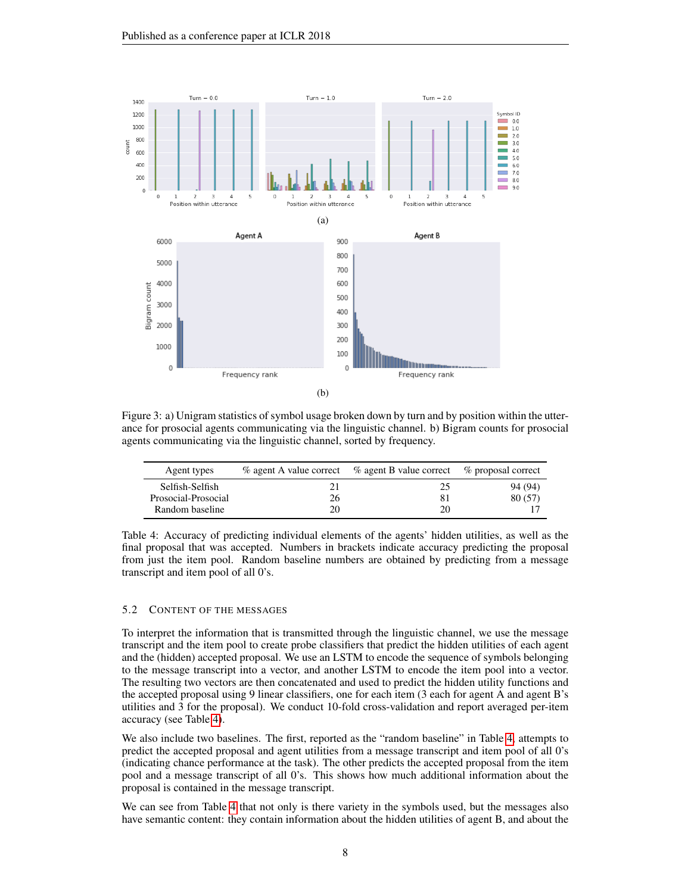<span id="page-7-0"></span>

Figure 3: a) Unigram statistics of symbol usage broken down by turn and by position within the utterance for prosocial agents communicating via the linguistic channel. b) Bigram counts for prosocial agents communicating via the linguistic channel, sorted by frequency.

<span id="page-7-1"></span>

| Agent types                                               | % agent A value correct | % agent B value correct % proposal correct |                    |
|-----------------------------------------------------------|-------------------------|--------------------------------------------|--------------------|
| Selfish-Selfish<br>Prosocial-Prosocial<br>Random baseline | 26                      | 25<br>20                                   | 94 (94)<br>80 (57) |

Table 4: Accuracy of predicting individual elements of the agents' hidden utilities, as well as the final proposal that was accepted. Numbers in brackets indicate accuracy predicting the proposal from just the item pool. Random baseline numbers are obtained by predicting from a message transcript and item pool of all 0's.

#### 5.2 CONTENT OF THE MESSAGES

To interpret the information that is transmitted through the linguistic channel, we use the message transcript and the item pool to create probe classifiers that predict the hidden utilities of each agent and the (hidden) accepted proposal. We use an LSTM to encode the sequence of symbols belonging to the message transcript into a vector, and another LSTM to encode the item pool into a vector. The resulting two vectors are then concatenated and used to predict the hidden utility functions and the accepted proposal using 9 linear classifiers, one for each item (3 each for agent A and agent B's utilities and 3 for the proposal). We conduct 10-fold cross-validation and report averaged per-item accuracy (see Table [4\)](#page-7-1).

We also include two baselines. The first, reported as the "random baseline" in Table [4,](#page-7-1) attempts to predict the accepted proposal and agent utilities from a message transcript and item pool of all 0's (indicating chance performance at the task). The other predicts the accepted proposal from the item pool and a message transcript of all 0's. This shows how much additional information about the proposal is contained in the message transcript.

We can see from Table [4](#page-7-1) that not only is there variety in the symbols used, but the messages also have semantic content: they contain information about the hidden utilities of agent B, and about the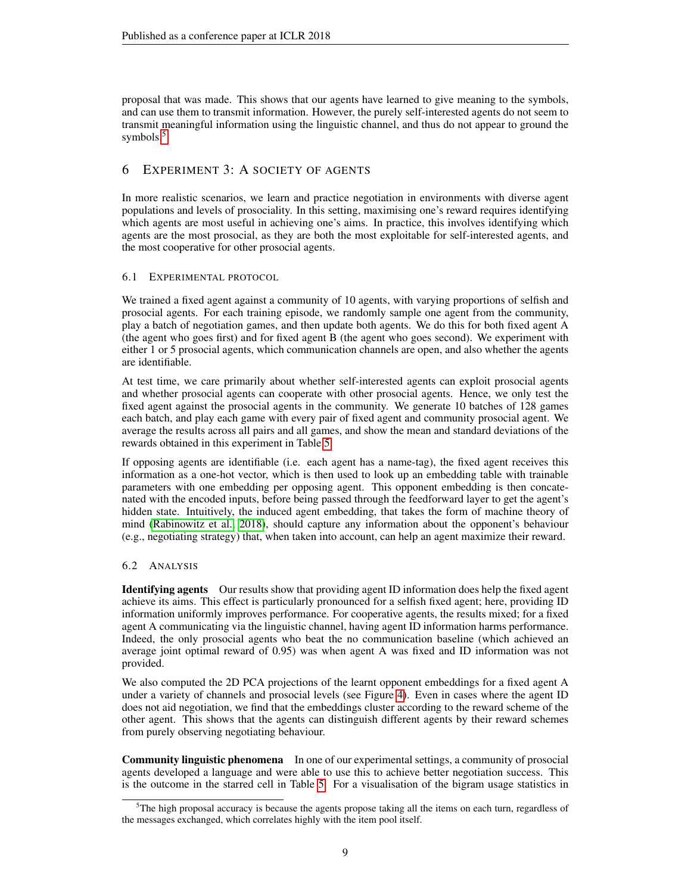proposal that was made. This shows that our agents have learned to give meaning to the symbols, and can use them to transmit information. However, the purely self-interested agents do not seem to transmit meaningful information using the linguistic channel, and thus do not appear to ground the symbols.<sup>[5](#page-8-0)</sup>

# 6 EXPERIMENT 3: A SOCIETY OF AGENTS

In more realistic scenarios, we learn and practice negotiation in environments with diverse agent populations and levels of prosociality. In this setting, maximising one's reward requires identifying which agents are most useful in achieving one's aims. In practice, this involves identifying which agents are the most prosocial, as they are both the most exploitable for self-interested agents, and the most cooperative for other prosocial agents.

## 6.1 EXPERIMENTAL PROTOCOL

We trained a fixed agent against a community of 10 agents, with varying proportions of selfish and prosocial agents. For each training episode, we randomly sample one agent from the community, play a batch of negotiation games, and then update both agents. We do this for both fixed agent A (the agent who goes first) and for fixed agent B (the agent who goes second). We experiment with either 1 or 5 prosocial agents, which communication channels are open, and also whether the agents are identifiable.

At test time, we care primarily about whether self-interested agents can exploit prosocial agents and whether prosocial agents can cooperate with other prosocial agents. Hence, we only test the fixed agent against the prosocial agents in the community. We generate 10 batches of 128 games each batch, and play each game with every pair of fixed agent and community prosocial agent. We average the results across all pairs and all games, and show the mean and standard deviations of the rewards obtained in this experiment in Table [5.](#page-9-0)

If opposing agents are identifiable (i.e. each agent has a name-tag), the fixed agent receives this information as a one-hot vector, which is then used to look up an embedding table with trainable parameters with one embedding per opposing agent. This opponent embedding is then concatenated with the encoded inputs, before being passed through the feedforward layer to get the agent's hidden state. Intuitively, the induced agent embedding, that takes the form of machine theory of mind [\(Rabinowitz et al., 2018\)](#page-11-18), should capture any information about the opponent's behaviour (e.g., negotiating strategy) that, when taken into account, can help an agent maximize their reward.

## 6.2 ANALYSIS

Identifying agents Our results show that providing agent ID information does help the fixed agent achieve its aims. This effect is particularly pronounced for a selfish fixed agent; here, providing ID information uniformly improves performance. For cooperative agents, the results mixed; for a fixed agent A communicating via the linguistic channel, having agent ID information harms performance. Indeed, the only prosocial agents who beat the no communication baseline (which achieved an average joint optimal reward of 0.95) was when agent A was fixed and ID information was not provided.

We also computed the 2D PCA projections of the learnt opponent embeddings for a fixed agent A under a variety of channels and prosocial levels (see Figure [4\)](#page-9-1). Even in cases where the agent ID does not aid negotiation, we find that the embeddings cluster according to the reward scheme of the other agent. This shows that the agents can distinguish different agents by their reward schemes from purely observing negotiating behaviour.

Community linguistic phenomena In one of our experimental settings, a community of prosocial agents developed a language and were able to use this to achieve better negotiation success. This is the outcome in the starred cell in Table [5.](#page-9-0) For a visualisation of the bigram usage statistics in

<span id="page-8-0"></span><sup>&</sup>lt;sup>5</sup>The high proposal accuracy is because the agents propose taking all the items on each turn, regardless of the messages exchanged, which correlates highly with the item pool itself.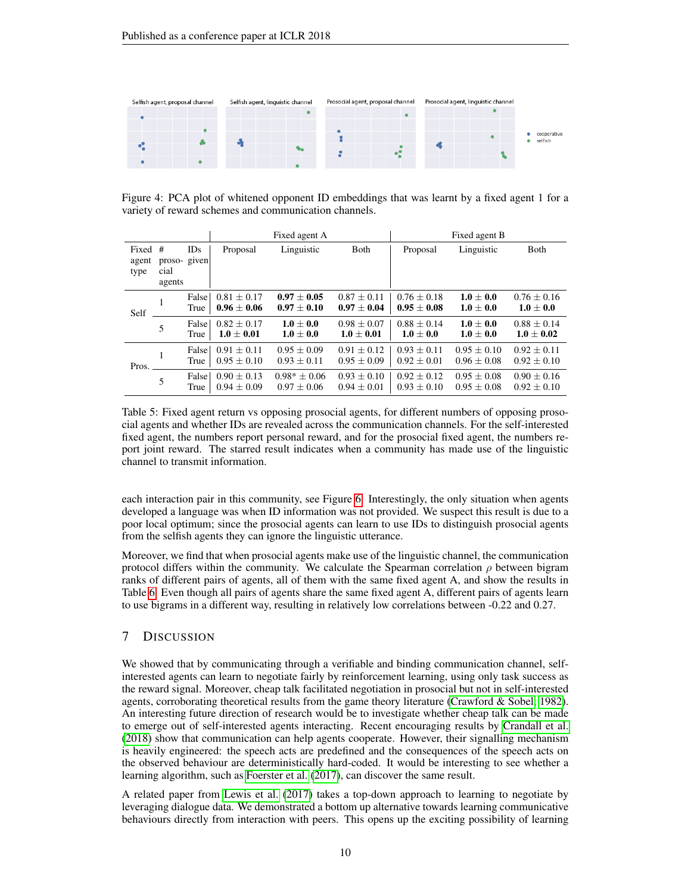<span id="page-9-1"></span>

Figure 4: PCA plot of whitened opponent ID embeddings that was learnt by a fixed agent 1 for a variety of reward schemes and communication channels.

<span id="page-9-0"></span>

|                          |                               |               | Fixed agent A                      |                                    | Fixed agent B                    |                                  |                                  |                                    |
|--------------------------|-------------------------------|---------------|------------------------------------|------------------------------------|----------------------------------|----------------------------------|----------------------------------|------------------------------------|
| Fixed #<br>agent<br>type | proso-given<br>cial<br>agents | IDs           | Proposal                           | Linguistic                         | <b>B</b> oth                     | Proposal                         | Linguistic                       | <b>B</b> oth                       |
| Self                     | 1                             | False<br>True | $0.81 \pm 0.17$<br>$0.96 \pm 0.06$ | $0.97 + 0.05$<br>$0.97 + 0.10$     | $0.87 + 0.11$<br>$0.97 \pm 0.04$ | $0.76 + 0.18$<br>$0.95 \pm 0.08$ | $1.0 + 0.0$<br>$1.0 \pm 0.0$     | $0.76 \pm 0.16$<br>$1.0 \pm 0.0$   |
|                          | 5                             | False<br>True | $0.82 + 0.17$<br>$1.0 + 0.01$      | $1.0 \pm 0.0$<br>$1.0 \pm 0.0$     | $0.98 + 0.07$<br>$1.0 \pm 0.01$  | $0.88 + 0.14$<br>$1.0 \pm 0.0$   | $1.0 + 0.0$<br>$1.0 \pm 0.0$     | $0.88 + 0.14$<br>$1.0 \pm 0.02$    |
| Pros.                    | 1                             | False<br>True | $0.91 + 0.11$<br>$0.95 \pm 0.10$   | $0.95 \pm 0.09$<br>$0.93 \pm 0.11$ | $0.91 + 0.12$<br>$0.95 \pm 0.09$ | $0.93 + 0.11$<br>$0.92 \pm 0.01$ | $0.95 + 0.10$<br>$0.96 + 0.08$   | $0.92 + 0.11$<br>$0.92 \pm 0.10$   |
|                          | 5                             | False<br>True | $0.90 + 0.13$<br>$0.94 \pm 0.09$   | $0.98* + 0.06$<br>$0.97 \pm 0.06$  | $0.93 + 0.10$<br>$0.94 \pm 0.01$ | $0.92 + 0.12$<br>$0.93 \pm 0.10$ | $0.95 + 0.08$<br>$0.95 \pm 0.08$ | $0.90 \pm 0.16$<br>$0.92 \pm 0.10$ |

Table 5: Fixed agent return vs opposing prosocial agents, for different numbers of opposing prosocial agents and whether IDs are revealed across the communication channels. For the self-interested fixed agent, the numbers report personal reward, and for the prosocial fixed agent, the numbers report joint reward. The starred result indicates when a community has made use of the linguistic channel to transmit information.

each interaction pair in this community, see Figure [6.](#page-13-1) Interestingly, the only situation when agents developed a language was when ID information was not provided. We suspect this result is due to a poor local optimum; since the prosocial agents can learn to use IDs to distinguish prosocial agents from the selfish agents they can ignore the linguistic utterance.

Moreover, we find that when prosocial agents make use of the linguistic channel, the communication protocol differs within the community. We calculate the Spearman correlation  $\rho$  between bigram ranks of different pairs of agents, all of them with the same fixed agent A, and show the results in Table [6.](#page-14-1) Even though all pairs of agents share the same fixed agent A, different pairs of agents learn to use bigrams in a different way, resulting in relatively low correlations between -0.22 and 0.27.

## 7 DISCUSSION

We showed that by communicating through a verifiable and binding communication channel, selfinterested agents can learn to negotiate fairly by reinforcement learning, using only task success as the reward signal. Moreover, cheap talk facilitated negotiation in prosocial but not in self-interested agents, corroborating theoretical results from the game theory literature [\(Crawford & Sobel, 1982\)](#page-10-7). An interesting future direction of research would be to investigate whether cheap talk can be made to emerge out of self-interested agents interacting. Recent encouraging results by [Crandall et al.](#page-10-12) [\(2018\)](#page-10-12) show that communication can help agents cooperate. However, their signalling mechanism is heavily engineered: the speech acts are predefined and the consequences of the speech acts on the observed behaviour are deterministically hard-coded. It would be interesting to see whether a learning algorithm, such as [Foerster et al.](#page-10-13) [\(2017\)](#page-10-13), can discover the same result.

A related paper from [Lewis et al.](#page-11-13) [\(2017\)](#page-11-13) takes a top-down approach to learning to negotiate by leveraging dialogue data. We demonstrated a bottom up alternative towards learning communicative behaviours directly from interaction with peers. This opens up the exciting possibility of learning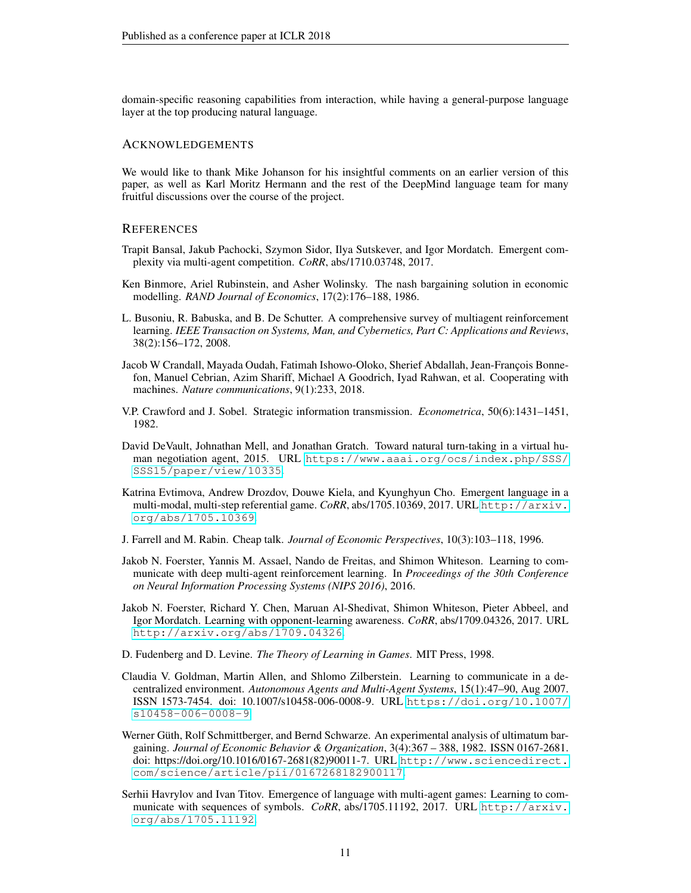domain-specific reasoning capabilities from interaction, while having a general-purpose language layer at the top producing natural language.

#### ACKNOWLEDGEMENTS

We would like to thank Mike Johanson for his insightful comments on an earlier version of this paper, as well as Karl Moritz Hermann and the rest of the DeepMind language team for many fruitful discussions over the course of the project.

## **REFERENCES**

- <span id="page-10-5"></span>Trapit Bansal, Jakub Pachocki, Szymon Sidor, Ilya Sutskever, and Igor Mordatch. Emergent complexity via multi-agent competition. *CoRR*, abs/1710.03748, 2017.
- <span id="page-10-3"></span>Ken Binmore, Ariel Rubinstein, and Asher Wolinsky. The nash bargaining solution in economic modelling. *RAND Journal of Economics*, 17(2):176–188, 1986.
- <span id="page-10-4"></span>L. Busoniu, R. Babuska, and B. De Schutter. A comprehensive survey of multiagent reinforcement learning. *IEEE Transaction on Systems, Man, and Cybernetics, Part C: Applications and Reviews*, 38(2):156–172, 2008.
- <span id="page-10-12"></span>Jacob W Crandall, Mayada Oudah, Fatimah Ishowo-Oloko, Sherief Abdallah, Jean-François Bonnefon, Manuel Cebrian, Azim Shariff, Michael A Goodrich, Iyad Rahwan, et al. Cooperating with machines. *Nature communications*, 9(1):233, 2018.
- <span id="page-10-7"></span>V.P. Crawford and J. Sobel. Strategic information transmission. *Econometrica*, 50(6):1431–1451, 1982.
- <span id="page-10-9"></span>David DeVault, Johnathan Mell, and Jonathan Gratch. Toward natural turn-taking in a virtual human negotiation agent, 2015. URL [https://www.aaai.org/ocs/index.php/SSS/](https://www.aaai.org/ocs/index.php/SSS/SSS15/paper/view/10335) [SSS15/paper/view/10335](https://www.aaai.org/ocs/index.php/SSS/SSS15/paper/view/10335).
- <span id="page-10-2"></span>Katrina Evtimova, Andrew Drozdov, Douwe Kiela, and Kyunghyun Cho. Emergent language in a multi-modal, multi-step referential game. *CoRR*, abs/1705.10369, 2017. URL [http://arxiv.](http://arxiv.org/abs/1705.10369) [org/abs/1705.10369](http://arxiv.org/abs/1705.10369).
- <span id="page-10-8"></span>J. Farrell and M. Rabin. Cheap talk. *Journal of Economic Perspectives*, 10(3):103–118, 1996.
- <span id="page-10-0"></span>Jakob N. Foerster, Yannis M. Assael, Nando de Freitas, and Shimon Whiteson. Learning to communicate with deep multi-agent reinforcement learning. In *Proceedings of the 30th Conference on Neural Information Processing Systems (NIPS 2016)*, 2016.
- <span id="page-10-13"></span>Jakob N. Foerster, Richard Y. Chen, Maruan Al-Shedivat, Shimon Whiteson, Pieter Abbeel, and Igor Mordatch. Learning with opponent-learning awareness. *CoRR*, abs/1709.04326, 2017. URL <http://arxiv.org/abs/1709.04326>.
- <span id="page-10-11"></span>D. Fudenberg and D. Levine. *The Theory of Learning in Games*. MIT Press, 1998.
- <span id="page-10-1"></span>Claudia V. Goldman, Martin Allen, and Shlomo Zilberstein. Learning to communicate in a decentralized environment. *Autonomous Agents and Multi-Agent Systems*, 15(1):47–90, Aug 2007. ISSN 1573-7454. doi: 10.1007/s10458-006-0008-9. URL [https://doi.org/10.1007/](https://doi.org/10.1007/s10458-006-0008-9) [s10458-006-0008-9](https://doi.org/10.1007/s10458-006-0008-9).
- <span id="page-10-10"></span>Werner Güth, Rolf Schmittberger, and Bernd Schwarze. An experimental analysis of ultimatum bargaining. *Journal of Economic Behavior & Organization*, 3(4):367 – 388, 1982. ISSN 0167-2681. doi: https://doi.org/10.1016/0167-2681(82)90011-7. URL [http://www.sciencedirect.](http://www.sciencedirect.com/science/article/pii/0167268182900117) [com/science/article/pii/0167268182900117](http://www.sciencedirect.com/science/article/pii/0167268182900117).
- <span id="page-10-6"></span>Serhii Havrylov and Ivan Titov. Emergence of language with multi-agent games: Learning to communicate with sequences of symbols. *CoRR*, abs/1705.11192, 2017. URL [http://arxiv.](http://arxiv.org/abs/1705.11192) [org/abs/1705.11192](http://arxiv.org/abs/1705.11192).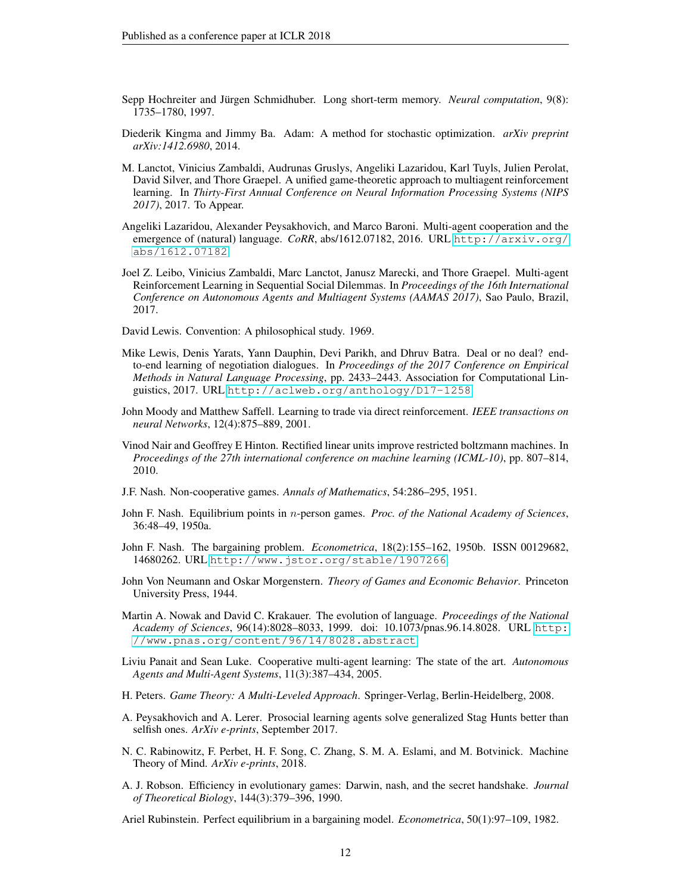- <span id="page-11-16"></span>Sepp Hochreiter and Jürgen Schmidhuber. Long short-term memory. *Neural computation*, 9(8): 1735–1780, 1997.
- <span id="page-11-19"></span>Diederik Kingma and Jimmy Ba. Adam: A method for stochastic optimization. *arXiv preprint arXiv:1412.6980*, 2014.
- <span id="page-11-12"></span>M. Lanctot, Vinicius Zambaldi, Audrunas Gruslys, Angeliki Lazaridou, Karl Tuyls, Julien Perolat, David Silver, and Thore Graepel. A unified game-theoretic approach to multiagent reinforcement learning. In *Thirty-First Annual Conference on Neural Information Processing Systems (NIPS 2017)*, 2017. To Appear.
- <span id="page-11-1"></span>Angeliki Lazaridou, Alexander Peysakhovich, and Marco Baroni. Multi-agent cooperation and the emergence of (natural) language. *CoRR*, abs/1612.07182, 2016. URL [http://arxiv.org/](http://arxiv.org/abs/1612.07182) [abs/1612.07182](http://arxiv.org/abs/1612.07182).
- <span id="page-11-9"></span>Joel Z. Leibo, Vinicius Zambaldi, Marc Lanctot, Janusz Marecki, and Thore Graepel. Multi-agent Reinforcement Learning in Sequential Social Dilemmas. In *Proceedings of the 16th International Conference on Autonomous Agents and Multiagent Systems (AAMAS 2017)*, Sao Paulo, Brazil, 2017.
- <span id="page-11-0"></span>David Lewis. Convention: A philosophical study. 1969.
- <span id="page-11-13"></span>Mike Lewis, Denis Yarats, Yann Dauphin, Devi Parikh, and Dhruv Batra. Deal or no deal? endto-end learning of negotiation dialogues. In *Proceedings of the 2017 Conference on Empirical Methods in Natural Language Processing*, pp. 2433–2443. Association for Computational Linguistics, 2017. URL <http://aclweb.org/anthology/D17-1258>.
- <span id="page-11-14"></span>John Moody and Matthew Saffell. Learning to trade via direct reinforcement. *IEEE transactions on neural Networks*, 12(4):875–889, 2001.
- <span id="page-11-17"></span>Vinod Nair and Geoffrey E Hinton. Rectified linear units improve restricted boltzmann machines. In *Proceedings of the 27th international conference on machine learning (ICML-10)*, pp. 807–814, 2010.
- <span id="page-11-5"></span>J.F. Nash. Non-cooperative games. *Annals of Mathematics*, 54:286–295, 1951.
- <span id="page-11-4"></span>John F. Nash. Equilibrium points in n-person games. *Proc. of the National Academy of Sciences*, 36:48–49, 1950a.
- <span id="page-11-2"></span>John F. Nash. The bargaining problem. *Econometrica*, 18(2):155–162, 1950b. ISSN 00129682, 14680262. URL <http://www.jstor.org/stable/1907266>.
- <span id="page-11-3"></span>John Von Neumann and Oskar Morgenstern. *Theory of Games and Economic Behavior*. Princeton University Press, 1944.
- <span id="page-11-10"></span>Martin A. Nowak and David C. Krakauer. The evolution of language. *Proceedings of the National Academy of Sciences*, 96(14):8028–8033, 1999. doi: 10.1073/pnas.96.14.8028. URL [http:](http://www.pnas.org/content/96/14/8028.abstract) [//www.pnas.org/content/96/14/8028.abstract](http://www.pnas.org/content/96/14/8028.abstract).
- <span id="page-11-8"></span>Liviu Panait and Sean Luke. Cooperative multi-agent learning: The state of the art. *Autonomous Agents and Multi-Agent Systems*, 11(3):387–434, 2005.
- <span id="page-11-6"></span>H. Peters. *Game Theory: A Multi-Leveled Approach*. Springer-Verlag, Berlin-Heidelberg, 2008.
- <span id="page-11-15"></span>A. Peysakhovich and A. Lerer. Prosocial learning agents solve generalized Stag Hunts better than selfish ones. *ArXiv e-prints*, September 2017.
- <span id="page-11-18"></span>N. C. Rabinowitz, F. Perbet, H. F. Song, C. Zhang, S. M. A. Eslami, and M. Botvinick. Machine Theory of Mind. *ArXiv e-prints*, 2018.
- <span id="page-11-11"></span>A. J. Robson. Efficiency in evolutionary games: Darwin, nash, and the secret handshake. *Journal of Theoretical Biology*, 144(3):379–396, 1990.

<span id="page-11-7"></span>Ariel Rubinstein. Perfect equilibrium in a bargaining model. *Econometrica*, 50(1):97–109, 1982.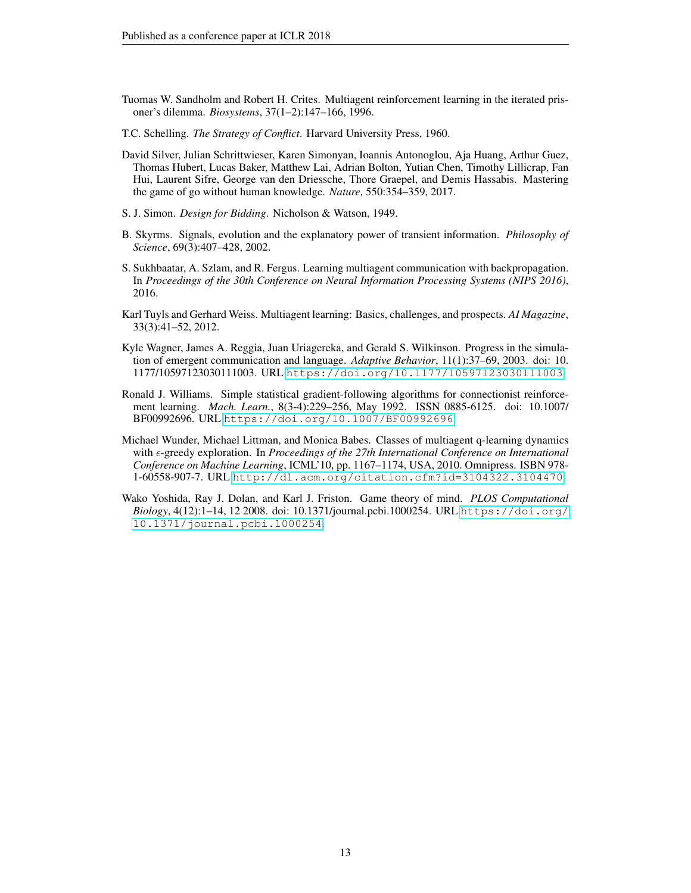- <span id="page-12-8"></span>Tuomas W. Sandholm and Robert H. Crites. Multiagent reinforcement learning in the iterated prisoner's dilemma. *Biosystems*, 37(1–2):147–166, 1996.
- <span id="page-12-2"></span>T.C. Schelling. *The Strategy of Conflict*. Harvard University Press, 1960.
- <span id="page-12-4"></span>David Silver, Julian Schrittwieser, Karen Simonyan, Ioannis Antonoglou, Aja Huang, Arthur Guez, Thomas Hubert, Lucas Baker, Matthew Lai, Adrian Bolton, Yutian Chen, Timothy Lillicrap, Fan Hui, Laurent Sifre, George van den Driessche, Thore Graepel, and Demis Hassabis. Mastering the game of go without human knowledge. *Nature*, 550:354–359, 2017.
- <span id="page-12-10"></span>S. J. Simon. *Design for Bidding*. Nicholson & Watson, 1949.
- <span id="page-12-5"></span>B. Skyrms. Signals, evolution and the explanatory power of transient information. *Philosophy of Science*, 69(3):407–428, 2002.
- <span id="page-12-1"></span>S. Sukhbaatar, A. Szlam, and R. Fergus. Learning multiagent communication with backpropagation. In *Proceedings of the 30th Conference on Neural Information Processing Systems (NIPS 2016)*, 2016.
- <span id="page-12-3"></span>Karl Tuyls and Gerhard Weiss. Multiagent learning: Basics, challenges, and prospects. *AI Magazine*, 33(3):41–52, 2012.
- <span id="page-12-0"></span>Kyle Wagner, James A. Reggia, Juan Uriagereka, and Gerald S. Wilkinson. Progress in the simulation of emergent communication and language. *Adaptive Behavior*, 11(1):37–69, 2003. doi: 10. 1177/10597123030111003. URL <https://doi.org/10.1177/10597123030111003>.
- <span id="page-12-7"></span>Ronald J. Williams. Simple statistical gradient-following algorithms for connectionist reinforcement learning. *Mach. Learn.*, 8(3-4):229–256, May 1992. ISSN 0885-6125. doi: 10.1007/ BF00992696. URL <https://doi.org/10.1007/BF00992696>.
- <span id="page-12-9"></span>Michael Wunder, Michael Littman, and Monica Babes. Classes of multiagent q-learning dynamics with  $\epsilon$ -greedy exploration. In *Proceedings of the 27th International Conference on International Conference on Machine Learning*, ICML'10, pp. 1167–1174, USA, 2010. Omnipress. ISBN 978- 1-60558-907-7. URL <http://dl.acm.org/citation.cfm?id=3104322.3104470>.
- <span id="page-12-6"></span>Wako Yoshida, Ray J. Dolan, and Karl J. Friston. Game theory of mind. *PLOS Computational Biology*, 4(12):1–14, 12 2008. doi: 10.1371/journal.pcbi.1000254. URL [https://doi.org/](https://doi.org/10.1371/journal.pcbi.1000254) [10.1371/journal.pcbi.1000254](https://doi.org/10.1371/journal.pcbi.1000254).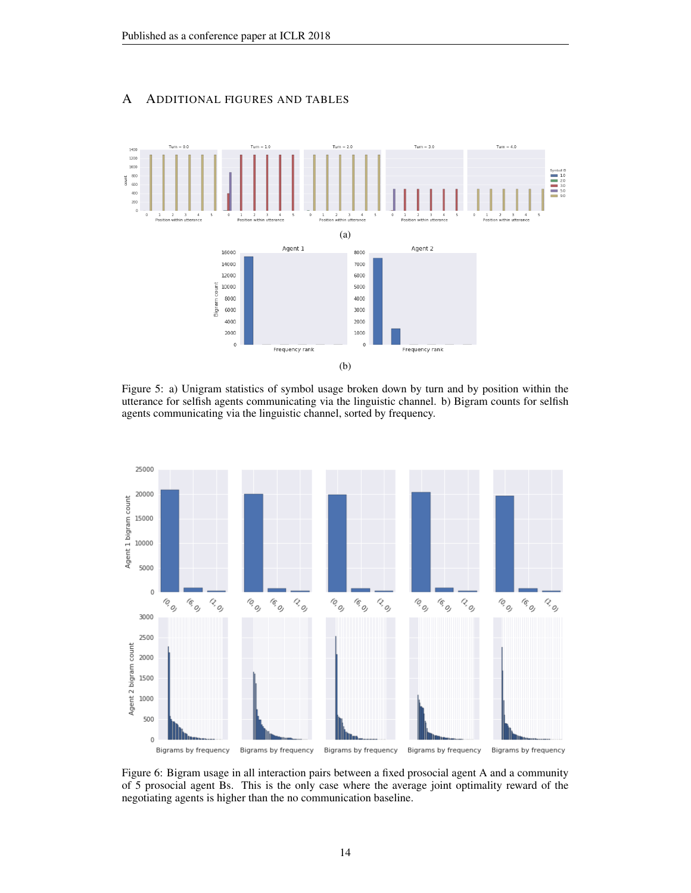# A ADDITIONAL FIGURES AND TABLES

<span id="page-13-0"></span>

Figure 5: a) Unigram statistics of symbol usage broken down by turn and by position within the utterance for selfish agents communicating via the linguistic channel. b) Bigram counts for selfish agents communicating via the linguistic channel, sorted by frequency.

<span id="page-13-1"></span>

Figure 6: Bigram usage in all interaction pairs between a fixed prosocial agent A and a community of 5 prosocial agent Bs. This is the only case where the average joint optimality reward of the negotiating agents is higher than the no communication baseline.